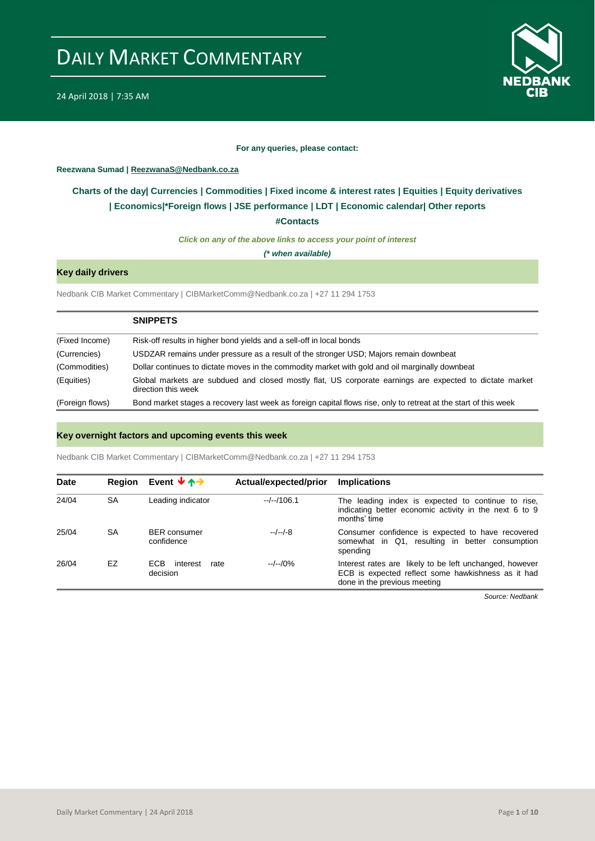

#### **For any queries, please contact:**

## <span id="page-0-0"></span>**Reezwana Sumad | ReezwanaS@Nedbank.co.za**

# **Charts of the day| [Currencies](#page-2-0) [| Commodities](#page-3-0) | [Fixed income & interest rates](#page-1-0) | [Equities](#page-4-0) | Equity derivatives | Economics|[\\*Foreign flows](#page-6-0) [| JSE performance](#page-4-1) | LDT | [Economic calendar|](#page-7-0) Other reports**

**[#Contacts](#page-8-0)**

*Click on any of the above links to access your point of interest*

*(\* when available)*

## **Key daily drivers**

Nedbank CIB Market Commentary | CIBMarketComm@Nedbank.co.za | +27 11 294 1753

|                 | <b>SNIPPETS</b>                                                                                                                |
|-----------------|--------------------------------------------------------------------------------------------------------------------------------|
| (Fixed Income)  | Risk-off results in higher bond yields and a sell-off in local bonds                                                           |
| (Currencies)    | USDZAR remains under pressure as a result of the stronger USD; Majors remain downbeat                                          |
| (Commodities)   | Dollar continues to dictate moves in the commodity market with gold and oil marginally downbeat                                |
| (Equities)      | Global markets are subdued and closed mostly flat, US corporate earnings are expected to dictate market<br>direction this week |
| (Foreign flows) | Bond market stages a recovery last week as foreign capital flows rise, only to retreat at the start of this week               |

## **Key overnight factors and upcoming events this week**

Nedbank CIB Market Commentary | CIBMarketComm@Nedbank.co.za | +27 11 294 1753

| <b>Date</b> | <b>Region</b> | Event $\forall \uparrow \rightarrow$ | Actual/expected/prior | <b>Implications</b>                                                                                                                           |
|-------------|---------------|--------------------------------------|-----------------------|-----------------------------------------------------------------------------------------------------------------------------------------------|
| 24/04       | <b>SA</b>     | Leading indicator                    | $-/-/106.1$           | The leading index is expected to continue to rise,<br>indicating better economic activity in the next 6 to 9<br>months' time                  |
| 25/04       | <b>SA</b>     | <b>BER</b> consumer<br>confidence    | $-/-/-8$              | Consumer confidence is expected to have recovered<br>somewhat in Q1, resulting in better consumption<br>spending                              |
| 26/04       | EZ            | ECB.<br>interest<br>rate<br>decision | $-/-/0\%$             | Interest rates are likely to be left unchanged, however<br>ECB is expected reflect some hawkishness as it had<br>done in the previous meeting |

*Source: Nedbank*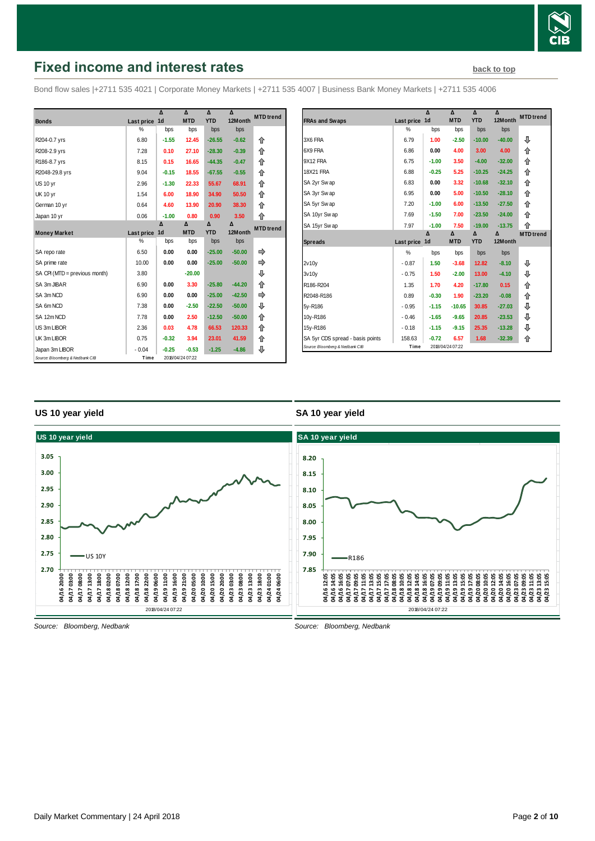

# <span id="page-1-0"></span>**Fixed income and interest rates [back to top](#page-0-0) back to top**

Bond flow sales |+2711 535 4021 | Corporate Money Markets | +2711 535 4007 | Business Bank Money Markets | +2711 535 4006

|                                 |            | $\Lambda$      | $\lambda$        | Δ          | Δ        | <b>MTD</b> trend |
|---------------------------------|------------|----------------|------------------|------------|----------|------------------|
| <b>Bonds</b>                    | Last price | 1 <sub>d</sub> | <b>MTD</b>       | <b>YTD</b> | 12Month  |                  |
|                                 | %          | bps            | bps              | bps        | bps      |                  |
| R204-0.7 yrs                    | 6.80       | $-1.55$        | 12.45            | $-26.55$   | $-0.62$  | 企                |
| R208-2.9 yrs                    | 7.28       | 0.10           | 27.10            | $-28.30$   | $-0.39$  | 企                |
| R186-8.7 yrs                    | 8.15       | 0.15           | 16.65            | $-44.35$   | $-0.47$  | 合                |
| R2048-29.8 yrs                  | 9.04       | $-0.15$        | 18.55            | $-67.55$   | $-0.55$  | 企                |
| <b>US 10 yr</b>                 | 2.96       | $-1.30$        | 22.33            | 55.67      | 68.91    | 企                |
| <b>UK 10 yr</b>                 | 1.54       | 6.00           | 18.90            | 34.90      | 50.50    | 企                |
| German 10 yr                    | 0.64       | 4.60           | 13.90            | 20.90      | 38.30    | 企                |
| Japan 10 yr                     | 0.06       | $-1.00$        | 0.80             | 0.90       | 3.50     | 合                |
|                                 |            | Δ              | Δ                | Δ          | Δ        | <b>MTD</b> trend |
| <b>Money Market</b>             | Last price | 1 <sub>d</sub> | <b>MTD</b>       | <b>YTD</b> | 12Month  |                  |
|                                 | %          | bps            | bps              | bps        | bps      |                  |
| SA repo rate                    | 6.50       | 0.00           | 0.00             | $-25.00$   | $-50.00$ |                  |
| SA prime rate                   | 10.00      | 0.00           | 0.00             | $-25.00$   | $-50.00$ |                  |
| SA CPI (MTD = previous month)   | 3.80       |                | $-20.00$         |            |          | ⊕                |
| SA 3m JIBAR                     | 6.90       | 0.00           | 3.30             | $-25.80$   | $-44.20$ | 企                |
| SA 3m NCD                       | 6.90       | 0.00           | 0.00             | $-25.00$   | $-42.50$ | ⇨                |
| SA 6m NCD                       | 7.38       | 0.00           | $-2.50$          | $-22.50$   | $-50.00$ | ⊕                |
| SA 12m NCD                      | 7.78       | 0.00           | 2.50             | $-12.50$   | $-50.00$ | 合                |
| US 3m LIBOR                     | 2.36       | 0.03           | 4.78             | 66.53      | 120.33   | ⇑                |
| UK 3m LIBOR                     | 0.75       | $-0.32$        | 3.94             | 23.01      | 41.59    | ⇑                |
| Japan 3m LIBOR                  | $-0.04$    | $-0.25$        | $-0.53$          | $-1.25$    | $-4.86$  | ⇩                |
| Source: Bloomberg & Nedbank CIB | Time       |                | 2018/04/24 07:22 |            |          |                  |

|                                  |            | Δ              | Δ          | Δ          | Δ        | <b>MTD</b> trend |
|----------------------------------|------------|----------------|------------|------------|----------|------------------|
| <b>FRAs and Swaps</b>            | Last price | 1 <sub>d</sub> | <b>MTD</b> | <b>YTD</b> | 12Month  |                  |
|                                  | %          | bps            | bps        | bps        | bps      |                  |
| 3X6 FRA                          | 6.79       | 1.00           | $-2.50$    | $-10.00$   | $-40.00$ | ⊕                |
| 6X9 FRA                          | 6.86       | 0.00           | 4.00       | 3.00       | 4.00     | 企                |
| 9X12 FRA                         | 6.75       | $-1.00$        | 3.50       | $-4.00$    | $-32.00$ | 企                |
| <b>18X21 FRA</b>                 | 6.88       | $-0.25$        | 5.25       | $-10.25$   | $-24.25$ | ⇑                |
| SA 2yr Swap                      | 6.83       | 0.00           | 3.32       | $-10.68$   | $-32.10$ | 企                |
| SA 3yr Swap                      | 6.95       | 0.00           | 5.00       | $-10.50$   | $-28.10$ | ⇑                |
| SA 5yr Swap                      | 7.20       | $-1.00$        | 6.00       | $-13.50$   | $-27.50$ | 企                |
| SA 10yr Swap                     | 7.69       | $-1.50$        | 7.00       | $-23.50$   | $-24.00$ | ⇑                |
| SA 15yr Swap                     | 7.97       | $-1.00$        | 7.50       | $-19.00$   | $-13.75$ | 企                |
|                                  |            | Δ              | Δ          | Δ          | Δ        | <b>MTD</b> trend |
|                                  |            |                |            |            |          |                  |
| <b>Spreads</b>                   | Last price | 1 <sub>d</sub> | <b>MTD</b> | <b>YTD</b> | 12Month  |                  |
|                                  | %          | bps            | bps        | bps        | bps      |                  |
| 2v10v                            | $-0.87$    | 1.50           | $-3.68$    | 12.82      | $-8.10$  | ⊕                |
| 3v10v                            | $-0.75$    | 1.50           | $-2.00$    | 13.00      | $-4.10$  | ⊕                |
| R186-R204                        | 1.35       | 1.70           | 4.20       | $-17.80$   | 0.15     | 企                |
| R2048-R186                       | 0.89       | $-0.30$        | 1.90       | $-23.20$   | $-0.08$  | ⇑                |
| 5y-R186                          | $-0.95$    | $-1.15$        | $-10.65$   | 30.85      | $-27.03$ | ⊕                |
| 10y-R186                         | $-0.46$    | $-1.65$        | $-9.65$    | 20.85      | $-23.53$ | ⊕                |
| 15y-R186                         | $-0.18$    | $-1.15$        | $-9.15$    | 25.35      | $-13.28$ | ⊕                |
| SA 5yr CDS spread - basis points | 158.63     | $-0.72$        | 6.57       | 1.68       | $-32.39$ | ⇑                |

## **US 10 year yield**

## **SA 10 year yield**



*Source: Bloomberg, Nedbank*

*Source: Bloomberg, Nedbank*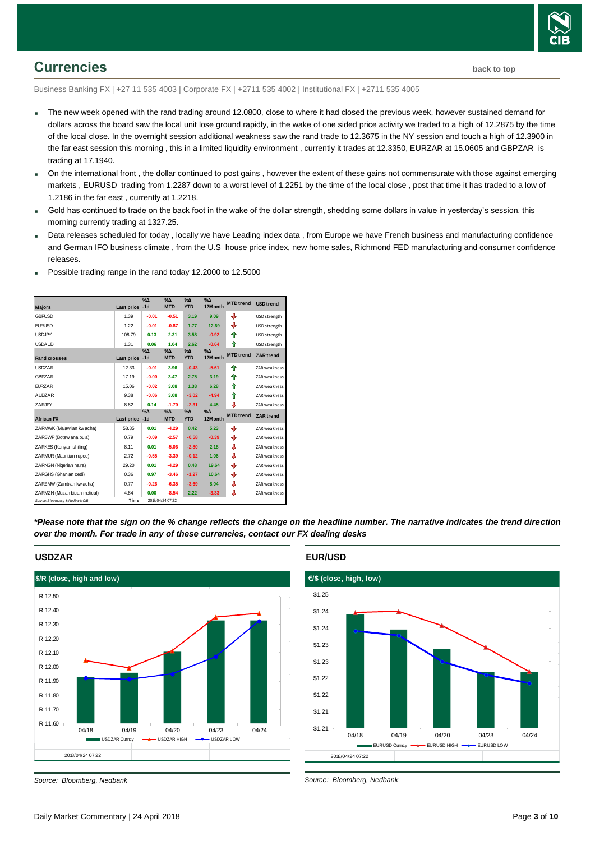

# <span id="page-2-0"></span>**Currencies [back to top](#page-0-0)**

Business Banking FX | +27 11 535 4003 | Corporate FX | +2711 535 4002 | Institutional FX | +2711 535 4005

- The new week opened with the rand trading around 12.0800, close to where it had closed the previous week, however sustained demand for dollars across the board saw the local unit lose ground rapidly, in the wake of one sided price activity we traded to a high of 12.2875 by the time of the local close. In the overnight session additional weakness saw the rand trade to 12.3675 in the NY session and touch a high of 12.3900 in the far east session this morning , this in a limited liquidity environment , currently it trades at 12.3350, EURZAR at 15.0605 and GBPZAR is trading at 17.1940.
- On the international front , the dollar continued to post gains , however the extent of these gains not commensurate with those against emerging markets , EURUSD trading from 1.2287 down to a worst level of 1.2251 by the time of the local close , post that time it has traded to a low of 1.2186 in the far east , currently at 1.2218.
- Gold has continued to trade on the back foot in the wake of the dollar strength, shedding some dollars in value in yesterday's session, this morning currently trading at 1327.25.
- Data releases scheduled for today , locally we have Leading index data , from Europe we have French business and manufacturing confidence and German IFO business climate , from the U.S house price index, new home sales, Richmond FED manufacturing and consumer confidence releases.

| <b>Majors</b>                   | Last price | $\sqrt[9]{\Delta}$<br>$-1d$ | $\Delta_0$<br><b>MTD</b>    | $\Delta_0$<br><b>YTD</b>    | $\Delta$<br>12Month | <b>MTD</b> trend | <b>USD</b> trend    |
|---------------------------------|------------|-----------------------------|-----------------------------|-----------------------------|---------------------|------------------|---------------------|
| <b>GBPUSD</b>                   | 1.39       | $-0.01$                     | $-0.51$                     | 3.19                        | 9.09                | ⊕                | USD strength        |
| <b>EURUSD</b>                   | 1.22       | $-0.01$                     | $-0.87$                     | 1.77                        | 12.69               | ⊕                | USD strength        |
| <b>USDJPY</b>                   | 108.79     | 0.13                        | 2.31                        | 3.58                        | $-0.92$             | 介                | USD strength        |
| <b>USDAUD</b>                   | 1.31       | 0.06                        | 1.04                        | 2.62                        | $-0.64$             | ⇑                | USD strength        |
| <b>Rand crosses</b>             | Last price | $\%$<br>$-1d$               | $\%$ $\Delta$<br><b>MTD</b> | $\%$ $\Delta$<br><b>YTD</b> | $\Delta$<br>12Month | <b>MTD</b> trend | <b>ZAR</b> trend    |
| <b>USDZAR</b>                   | 12.33      | $-0.01$                     | 3.96                        | $-0.43$                     | $-5.61$             | ♠                | ZAR weakness        |
| <b>GBPZAR</b>                   | 17.19      | $-0.00$                     | 3.47                        | 2.75                        | 3.19                | ⇑                | ZAR weakness        |
| <b>EURZAR</b>                   | 15.06      | $-0.02$                     | 3.08                        | 1.38                        | 6.28                | ↟                | ZAR weakness        |
| <b>AUDZAR</b>                   | 9.38       | $-0.06$                     | 3.08                        | $-3.02$                     | $-4.94$             | 合                | ZAR weakness        |
| ZARJPY                          | 8.82       | 0.14                        | $-1.70$                     | $-2.31$                     | 4.45                | ⊕                | ZAR weakness        |
| <b>African FX</b>               | Last price | $\%$ $\Delta$<br>$-1d$      | $\%$ $\Delta$<br><b>MTD</b> | $\%$ $\Delta$<br><b>YTD</b> | %Δ<br>12Month       | <b>MTD</b> trend | ZAR trend           |
| ZARMWK (Malaw ian kw acha)      | 58.85      | 0.01                        | $-4.29$                     | 0.42                        | 5.23                | ⇩                | ZAR weakness        |
| ZARBWP (Botsw ana pula)         | 0.79       | $-0.09$                     | $-2.57$                     | $-0.58$                     | $-0.39$             | ⇩                | <b>ZAR</b> weakness |
| ZARKES (Kenyan shilling)        | 8.11       | 0.01                        | $-5.06$                     | $-2.80$                     | 2.18                | ⇩                | <b>ZAR</b> weakness |
| ZARMUR (Mauritian rupee)        | 2.72       | $-0.55$                     | $-3.39$                     | $-0.12$                     | 1.06                | ⇩                | ZAR weakness        |
| ZARNGN (Nigerian naira)         | 29.20      | 0.01                        | $-4.29$                     | 0.48                        | 19.64               | ⇩                | ZAR weakness        |
| ZARGHS (Ghanian cedi)           | 0.36       | 0.97                        | $-3.46$                     | $-1.27$                     | 10.64               | ⇩                | <b>ZAR</b> weakness |
| ZARZMW (Zambian kw acha)        | 0.77       | $-0.26$                     | $-6.35$                     | $-3.69$                     | 8.04                | ₽                | ZAR weakness        |
| ZARMZN (Mozambican metical)     | 4.84       | 0.00                        | $-8.54$                     | 2.22                        | $-3.33$             | ⊕                | ZAR weakness        |
| Source: Bloomberg & Nedbank CIB | Time       |                             | 2018/04/24 07:22            |                             |                     |                  |                     |

Possible trading range in the rand today 12.2000 to 12.5000

*\*Please note that the sign on the % change reflects the change on the headline number. The narrative indicates the trend direction over the month. For trade in any of these currencies, contact our FX dealing desks*



## **USDZAR**

*Source: Bloomberg, Nedbank*

## **EUR/USD**



*Source: Bloomberg, Nedbank*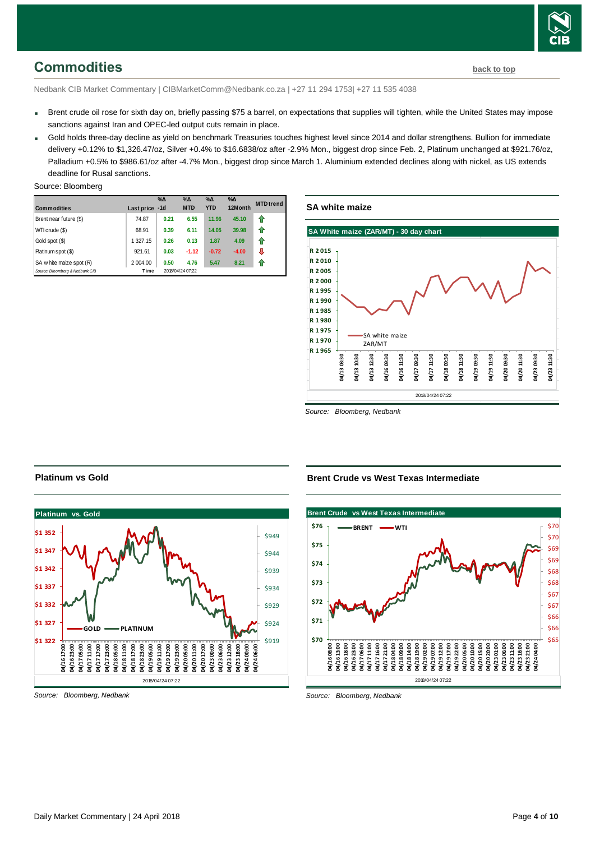

# <span id="page-3-0"></span>**Commodities [back to top](#page-0-0)**

Nedbank CIB Market Commentary | CIBMarketComm@Nedbank.co.za | +27 11 294 1753| +27 11 535 4038

- Brent crude oil rose for sixth day on, briefly passing \$75 a barrel, on expectations that supplies will tighten, while the United States may impose sanctions against Iran and OPEC-led output cuts remain in place.
- Gold holds three-day decline as yield on benchmark Treasuries touches highest level since 2014 and dollar strengthens. Bullion for immediate delivery +0.12% to \$1,326.47/oz. Silver +0.4% to \$16.6838/oz after -2.9% Mon., biggest drop since Feb. 2. Platinum unchanged at \$921.76/oz. Palladium +0.5% to \$986.61/oz after -4.7% Mon., biggest drop since March 1. Aluminium extended declines along with nickel, as US extends deadline for Rusal sanctions.

#### Source: Bloomberg

| <b>Commodities</b>              | Last price | $\%$ $\Delta$<br>$-1d$ | $\%$ $\Delta$<br><b>MTD</b> | $\%$ $\Delta$<br><b>YTD</b> | $% \Delta$<br>12Month | <b>MTD</b> trend |
|---------------------------------|------------|------------------------|-----------------------------|-----------------------------|-----------------------|------------------|
| Brent near future (\$)          | 74.87      | 0.21                   | 6.55                        | 11.96                       | 45.10                 | ⇑                |
| WTI crude (\$)                  | 68.91      | 0.39                   | 6.11                        | 14.05                       | 39.98                 | ⇑                |
| Gold spot (\$)                  | 1 327.15   | 0.26                   | 0.13                        | 1.87                        | 4.09                  | ♠                |
| Platinum spot (\$)              | 921.61     | 0.03                   | $-1.12$                     | $-0.72$                     | $-4.00$               | ⇩                |
| SA w hite maize spot (R)        | 2 004.00   | 0.50                   | 4.76                        | 5.47                        | 8.21                  | ⇑                |
| Source: Bloomberg & Nedbank CIB | Time       |                        | 2018/04/24 07:22            |                             |                       |                  |

# **SA white maize**



*Source: Bloomberg, Nedbank*



## **Platinum vs Gold**

*Source: Bloomberg, Nedbank*

## **Brent Crude vs West Texas Intermediate**



*Source: Bloomberg, Nedbank*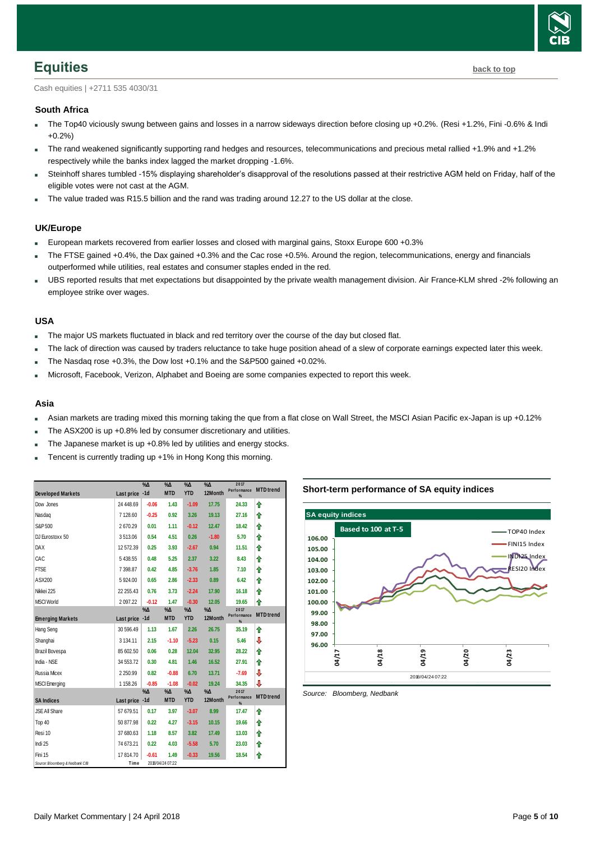

# <span id="page-4-0"></span>**Equities [back to top](#page-0-0)**

Cash equities | +2711 535 4030/31

## **South Africa**

- The Top40 viciously swung between gains and losses in a narrow sideways direction before closing up +0.2%. (Resi +1.2%, Fini -0.6% & Indi +0.2%)
- The rand weakened significantly supporting rand hedges and resources, telecommunications and precious metal rallied +1.9% and +1.2% respectively while the banks index lagged the market dropping -1.6%.
- Steinhoff shares tumbled -15% displaying shareholder's disapproval of the resolutions passed at their restrictive AGM held on Friday, half of the eligible votes were not cast at the AGM.
- The value traded was R15.5 billion and the rand was trading around 12.27 to the US dollar at the close.

### **UK/Europe**

- European markets recovered from earlier losses and closed with marginal gains, Stoxx Europe 600 +0.3%
- The FTSE gained +0.4%, the Dax gained +0.3% and the Cac rose +0.5%. Around the region, telecommunications, energy and financials outperformed while utilities, real estates and consumer staples ended in the red.
- UBS reported results that met expectations but disappointed by the private wealth management division. Air France-KLM shred -2% following an employee strike over wages.

### **USA**

- The major US markets fluctuated in black and red territory over the course of the day but closed flat.
- The lack of direction was caused by traders reluctance to take huge position ahead of a slew of corporate earnings expected later this week.
- The Nasdaq rose +0.3%, the Dow lost +0.1% and the S&P500 gained +0.02%.
- Microsoft, Facebook, Verizon, Alphabet and Boeing are some companies expected to report this week.

#### **Asia**

- Asian markets are trading mixed this morning taking the que from a flat close on Wall Street, the MSCI Asian Pacific ex-Japan is up +0.12%
- The ASX200 is up +0.8% led by consumer discretionary and utilities.
- The Japanese market is up +0.8% led by utilities and energy stocks.
- Tencent is currently trading up +1% in Hong Kong this morning.

|                                 |                | %Δ            | $\Delta_0$                  | $\%$ $\Delta$               | $\Delta_0$               | 2017<br>Performance      | <b>MTD</b> trend |
|---------------------------------|----------------|---------------|-----------------------------|-----------------------------|--------------------------|--------------------------|------------------|
| <b>Developed Markets</b>        | Last price -1d |               | <b>MTD</b>                  | <b>YTD</b>                  | 12Month                  | $\frac{d}{dx}$           |                  |
| Dow Jones                       | 24 448.69      | $-0.06$       | 1.43                        | $-1.09$                     | 17.75                    | 24.33                    | ⇑                |
| Nasdaq                          | 7 128.60       | $-0.25$       | 0.92                        | 3.26                        | 19.13                    | 27.16                    | ♠                |
| S&P 500                         | 2670.29        | 0.01          | 1.11                        | $-0.12$                     | 12.47                    | 18.42                    | ♠                |
| DJ Eurostoxx 50                 | 3513.06        | 0.54          | 4.51                        | 0.26                        | $-1.80$                  | 5.70                     | ♠                |
| <b>DAX</b>                      | 12 572.39      | 0.25          | 3.93                        | $-2.67$                     | 0.94                     | 11.51                    | ⇑                |
| CAC                             | 5 438.55       | 0.48          | 5.25                        | 2.37                        | 3.22                     | 8.43                     | ⇑                |
| <b>FTSE</b>                     | 7 398.87       | 0.42          | 4.85                        | $-3.76$                     | 1.85                     | 7.10                     | ⇑                |
| ASX200                          | 5924.00        | 0.65          | 2.86                        | $-2.33$                     | 0.89                     | 6.42                     | ⇑                |
| Nikkei 225                      | 22 255.43      | 0.76          | 3.73                        | $-2.24$                     | 17.90                    | 16.18                    | ⇑                |
| <b>MSCI World</b>               | 2 097.22       | $-0.12$       | 1.47                        | $-0.30$                     | 12.05                    | 19.65                    | ⇑                |
| <b>Emerging Markets</b>         | Last price -1d | $\%$ $\Delta$ | $\%$ $\Delta$<br><b>MTD</b> | $\%$ $\Delta$<br><b>YTD</b> | $\%$ $\Delta$<br>12Month | 2017<br>Performance<br>% | <b>MTD</b> trend |
| <b>Hang Seng</b>                | 30 596.49      | 1.13          | 1.67                        | 2.26                        | 26.75                    | 35.19                    | ⇑                |
| Shanghai                        | 3 134.11       | 2.15          | $-1.10$                     | $-5.23$                     | 0.15                     | 5.46                     | ⇩                |
| Brazil Bovespa                  | 85 602.50      | 0.06          | 0.28                        | 12.04                       | 32.95                    | 28.22                    | ⇑                |
| India - NSE                     | 34 553.72      | 0.30          | 4.81                        | 1.46                        | 16.52                    | 27.91                    | ⇑                |
| <b>Russia Micex</b>             | 2 2 5 0.99     | 0.82          | $-0.88$                     | 6.70                        | 13.71                    | $-7.69$                  | ⇩                |
| <b>MSCI Emerging</b>            | 1 158.26       | $-0.85$       | $-1.08$                     | $-0.02$                     | 19.24                    | 34.35                    | J                |
|                                 |                | $\%$ $\Delta$ | %Δ                          | $\%$ $\Delta$               | %Δ                       | 2017<br>Performance      | <b>MTD</b> trend |
| <b>SA Indices</b>               | Last price -1d |               | <b>MTD</b>                  | <b>YTD</b>                  | 12Month                  | $\frac{9}{6}$            |                  |
| <b>JSE All Share</b>            | 57 679.51      | 0.17          | 3.97                        | $-3.07$                     | 8.99                     | 17.47                    | ⇑                |
| Top 40                          | 50 877.98      | 0.22          | 4.27                        | $-3.15$                     | 10.15                    | 19.66                    | ♠                |
| Resi 10                         | 37 680.63      | 1.18          | 8.57                        | 3.82                        | 17.49                    | 13.03                    | ⇑                |
| Indi 25                         | 74 673.21      | 0.22          | 4.03                        | $-5.58$                     | 5.70                     | 23.03                    | ⇑                |
| Fini 15                         | 17814.70       | $-0.61$       | 1.49                        | $-0.33$                     | 19.56                    | 18.54                    | ⇑                |
| Source: Bloomberg & Nedbank CIB | Time           |               | 2018/04/24 07:22            |                             |                          |                          |                  |

### **Short-term performance of SA equity indices**



<span id="page-4-1"></span>*Source: Bloomberg, Nedbank*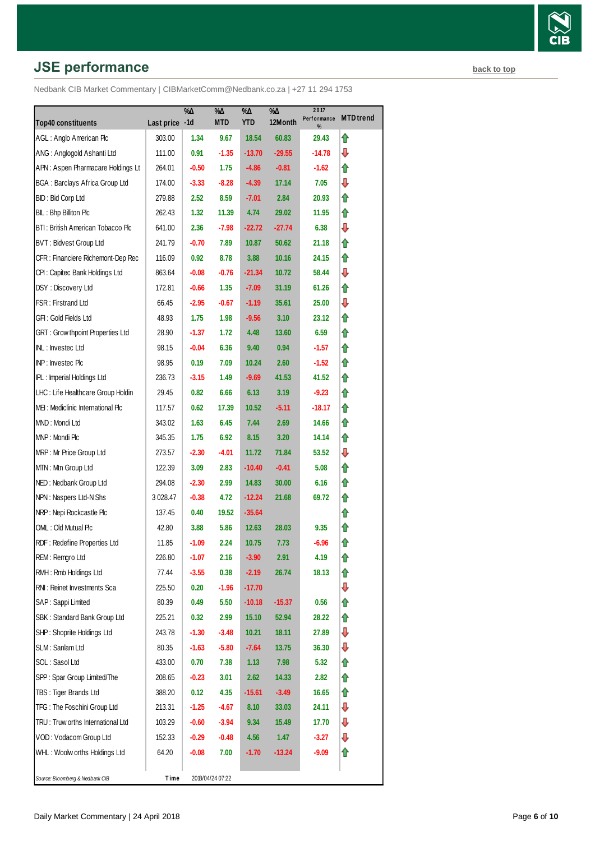# **JSE performance [back to top](#page-0-0) back to top**

|                                         |                | $\% \Delta$ | %Δ               | $\% \Delta$ | %Д<br>12Month | 2017<br>Performance | <b>MTD</b> trend |
|-----------------------------------------|----------------|-------------|------------------|-------------|---------------|---------------------|------------------|
| <b>Top40 constituents</b>               | Last price -1d |             | <b>MTD</b>       | <b>YTD</b>  |               | %                   |                  |
| AGL: Anglo American Plc                 | 303.00         | 1.34        | 9.67             | 18.54       | 60.83         | 29.43               | ⇑                |
| ANG: Anglogold Ashanti Ltd              | 111.00         | 0.91        | $-1.35$          | $-13.70$    | $-29.55$      | -14.78              | ⇩                |
| APN: Aspen Pharmacare Holdings Lt       | 264.01         | $-0.50$     | 1.75             | $-4.86$     | $-0.81$       | -1.62               | ⇑                |
| <b>BGA: Barclays Africa Group Ltd</b>   | 174.00         | $-3.33$     | $-8.28$          | $-4.39$     | 17.14         | 7.05                | ⇩                |
| BID: Bid Corp Ltd                       | 279.88         | 2.52        | 8.59             | $-7.01$     | 2.84          | 20.93               | ⇑                |
| BIL: Bhp Billiton Plc                   | 262.43         | 1.32        | 11.39            | 4.74        | 29.02         | 11.95               | ⇑                |
| BTI: British American Tobacco Plc       | 641.00         | 2.36        | $-7.98$          | $-22.72$    | $-27.74$      | 6.38                | ⇩                |
| BVT: Bidvest Group Ltd                  | 241.79         | $-0.70$     | 7.89             | 10.87       | 50.62         | 21.18               | ⇑                |
| CFR : Financiere Richemont-Dep Rec      | 116.09         | 0.92        | 8.78             | 3.88        | 10.16         | 24.15               | ⇑                |
| CPI: Capitec Bank Holdings Ltd          | 863.64         | $-0.08$     | $-0.76$          | $-21.34$    | 10.72         | 58.44               | ⇩                |
| DSY: Discovery Ltd                      | 172.81         | $-0.66$     | 1.35             | $-7.09$     | 31.19         | 61.26               | ⇑                |
| FSR: Firstrand Ltd                      | 66.45          | $-2.95$     | $-0.67$          | $-1.19$     | 35.61         | 25.00               | ⇩                |
| GFI : Gold Fields Ltd                   | 48.93          | 1.75        | 1.98             | $-9.56$     | 3.10          | 23.12               | ⇑                |
| <b>GRT: Grow thpoint Properties Ltd</b> | 28.90          | $-1.37$     | 1.72             | 4.48        | 13.60         | 6.59                | ⇑                |
| INL: Investec Ltd                       | 98.15          | $-0.04$     | 6.36             | 9.40        | 0.94          | $-1.57$             | ⇑                |
| INP: Investec Plc                       | 98.95          | 0.19        | 7.09             | 10.24       | 2.60          | $-1.52$             | ⇑                |
| IPL: Imperial Holdings Ltd              | 236.73         | $-3.15$     | 1.49             | $-9.69$     | 41.53         | 41.52               | ⇑                |
| LHC: Life Healthcare Group Holdin       | 29.45          | 0.82        | 6.66             | 6.13        | 3.19          | $-9.23$             | ⇑                |
| MEI: Mediclinic International Plc       | 117.57         | 0.62        | 17.39            | 10.52       | $-5.11$       | $-18.17$            | ⇑                |
| MND: Mondi Ltd                          | 343.02         | 1.63        | 6.45             | 7.44        | 2.69          | 14.66               | ⇑                |
| MNP: Mondi Plc                          | 345.35         | 1.75        | 6.92             | 8.15        | 3.20          | 14.14               | ⇑                |
| MRP: Mr Price Group Ltd                 | 273.57         | $-2.30$     | $-4.01$          | 11.72       | 71.84         | 53.52               | ⇩                |
| MTN: Mtn Group Ltd                      | 122.39         | 3.09        | 2.83             | $-10.40$    | $-0.41$       | 5.08                | ⇑                |
| NED: Nedbank Group Ltd                  | 294.08         | $-2.30$     | 2.99             | 14.83       | 30.00         | 6.16                | ⇑                |
| NPN: Naspers Ltd-N Shs                  | 3 0 28.47      | $-0.38$     | 4.72             | $-12.24$    | 21.68         | 69.72               | ⇑                |
| NRP: Nepi Rockcastle Plc                | 137.45         | 0.40        | 19.52            | $-35.64$    |               |                     | ⇑                |
| OML: Old Mutual Plc                     | 42.80          | 3.88        | 5.86             | 12.63       | 28.03         | 9.35                | ⇑                |
| RDF: Redefine Properties Ltd            | 11.85          | $-1.09$     | 2.24             | 10.75       | 7.73          | $-6.96$             | ⇑                |
| REM: Remgro Ltd                         | 226.80         | $-1.07$     | 2.16             | $-3.90$     | 2.91          | 4.19                | ⇑                |
| RMH : Rmb Holdings Ltd                  | 77.44          | $-3.55$     | 0.38             | $-2.19$     | 26.74         | 18.13               | ⇑                |
| RNI: Reinet Investments Sca             | 225.50         | 0.20        | $-1.96$          | $-17.70$    |               |                     | ₽                |
| SAP: Sappi Limited                      | 80.39          | 0.49        | 5.50             | $-10.18$    | $-15.37$      | 0.56                | ⇑                |
| SBK: Standard Bank Group Ltd            | 225.21         | 0.32        | 2.99             | 15.10       | 52.94         | 28.22               | ⇑                |
| SHP: Shoprite Holdings Ltd              | 243.78         | $-1.30$     | $-3.48$          | 10.21       | 18.11         | 27.89               | ⊕                |
| SLM: Sanlam Ltd                         | 80.35          | $-1.63$     | $-5.80$          | $-7.64$     | 13.75         | 36.30               | ⇩                |
| SOL: Sasol Ltd                          | 433.00         | 0.70        | 7.38             | 1.13        | 7.98          | 5.32                | ⇑                |
| SPP: Spar Group Limited/The             | 208.65         | $-0.23$     | 3.01             | 2.62        | 14.33         | 2.82                | ⇑                |
| TBS: Tiger Brands Ltd                   | 388.20         | 0.12        | 4.35             | $-15.61$    | $-3.49$       | 16.65               | ⇑                |
| TFG: The Foschini Group Ltd             | 213.31         | $-1.25$     | -4.67            | 8.10        | 33.03         | 24.11               | ⊕                |
| TRU: Truw orths International Ltd       | 103.29         | $-0.60$     | $-3.94$          | 9.34        | 15.49         | 17.70               | ⇩                |
| VOD: Vodacom Group Ltd                  | 152.33         | $-0.29$     | $-0.48$          | 4.56        | 1.47          | $-3.27$             | ⇩                |
| WHL: Woolw orths Holdings Ltd           | 64.20          | -0.08       | 7.00             | $-1.70$     | $-13.24$      | -9.09               | ⇑                |
| Source: Bloomberg & Nedbank CIB         | Time           |             | 2018/04/24 07:22 |             |               |                     |                  |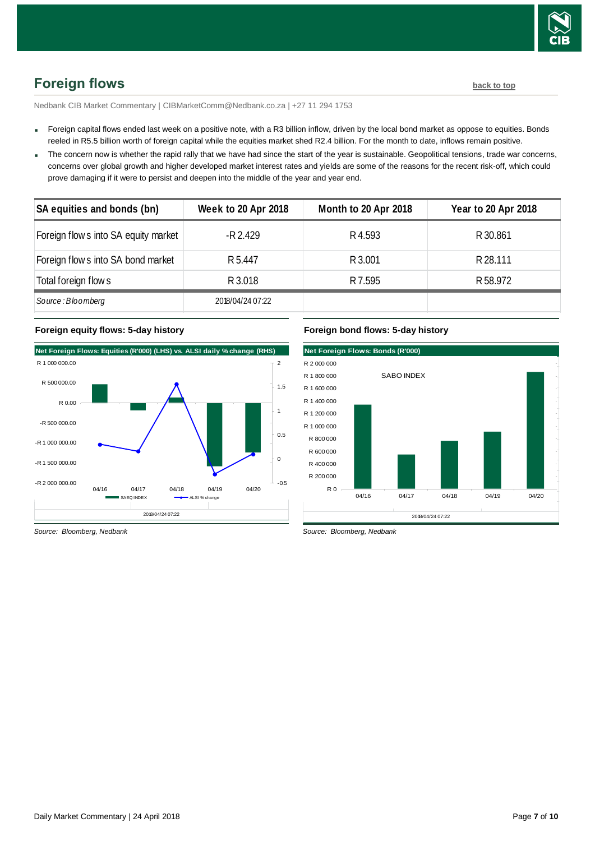

# <span id="page-6-0"></span>**Foreign flows [back to top](#page-0-0)**

Nedbank CIB Market Commentary | CIBMarketComm@Nedbank.co.za | +27 11 294 1753

- Foreign capital flows ended last week on a positive note, with a R3 billion inflow, driven by the local bond market as oppose to equities. Bonds reeled in R5.5 billion worth of foreign capital while the equities market shed R2.4 billion. For the month to date, inflows remain positive.
- The concern now is whether the rapid rally that we have had since the start of the year is sustainable. Geopolitical tensions, trade war concerns, concerns over global growth and higher developed market interest rates and yields are some of the reasons for the recent risk-off, which could prove damaging if it were to persist and deepen into the middle of the year and year end.

| SA equities and bonds (bn)           | <b>Week to 20 Apr 2018</b> | Month to 20 Apr 2018 | <b>Year to 20 Apr 2018</b> |
|--------------------------------------|----------------------------|----------------------|----------------------------|
| Foreign flow s into SA equity market | -R 2.429                   | R4.593               | R 30.861                   |
| Foreign flow s into SA bond market   | R <sub>5.447</sub>         | R 3.001              | R 28.111                   |
| Total foreign flow s                 | R 3.018                    | R 7.595              | R 58.972                   |
| Source: Bloomberg                    | 2018/04/24 07:22           |                      |                            |

### **Foreign equity flows: 5-day history**



## **Foreign bond flows: 5-day history**



*Source: Bloomberg, Nedbank*

*Source: Bloomberg, Nedbank*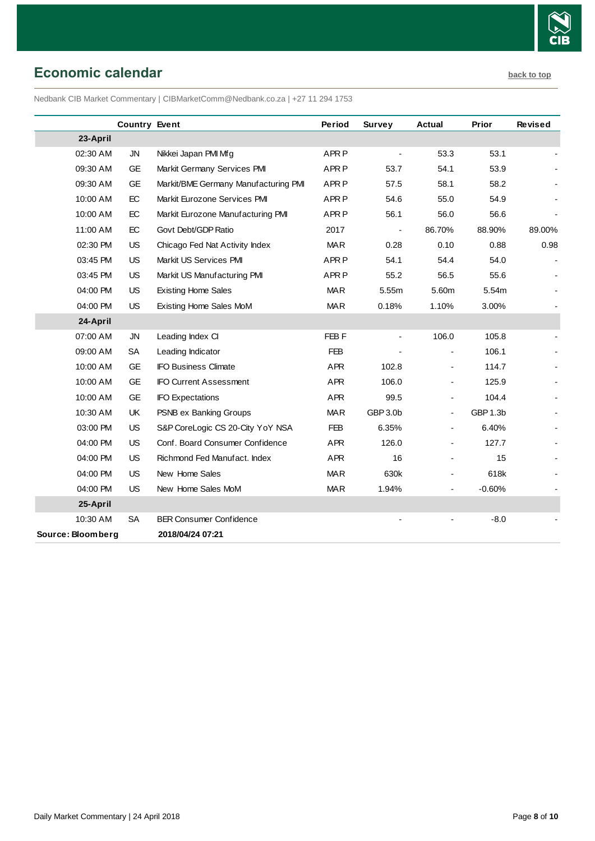

# <span id="page-7-0"></span>**Economic calendar [back to top](#page-0-0)**

Nedbank CIB Market Commentary | CIBMarketComm@Nedbank.co.za | +27 11 294 1753

|                   | <b>Country Event</b> |                                      | Period           | Survey   | <b>Actual</b>            | Prior    | <b>Revised</b> |
|-------------------|----------------------|--------------------------------------|------------------|----------|--------------------------|----------|----------------|
| 23-April          |                      |                                      |                  |          |                          |          |                |
| 02:30 AM          | <b>JN</b>            | Nikkei Japan PMI Mfg                 | APR <sub>P</sub> |          | 53.3                     | 53.1     |                |
| 09:30 AM          | <b>GE</b>            | Markit Germany Services PMI          | APR <sub>P</sub> | 53.7     | 54.1                     | 53.9     |                |
| 09:30 AM          | <b>GE</b>            | Markit/BME Germany Manufacturing PMI | APR <sub>P</sub> | 57.5     | 58.1                     | 58.2     |                |
| 10:00 AM          | EC                   | Markit Eurozone Services PMI         | APR <sub>P</sub> | 54.6     | 55.0                     | 54.9     |                |
| 10:00 AM          | EC                   | Markit Eurozone Manufacturing PMI    | APR <sub>P</sub> | 56.1     | 56.0                     | 56.6     |                |
| 11:00 AM          | EC                   | Govt Debt/GDP Ratio                  | 2017             |          | 86.70%                   | 88.90%   | 89.00%         |
| 02:30 PM          | <b>US</b>            | Chicago Fed Nat Activity Index       | <b>MAR</b>       | 0.28     | 0.10                     | 0.88     | 0.98           |
| 03:45 PM          | US                   | Markit US Services PMI               | APR <sub>P</sub> | 54.1     | 54.4                     | 54.0     |                |
| 03:45 PM          | <b>US</b>            | Markit US Manufacturing PMI          | APR <sub>P</sub> | 55.2     | 56.5                     | 55.6     |                |
| 04:00 PM          | <b>US</b>            | <b>Existing Home Sales</b>           | <b>MAR</b>       | 5.55m    | 5.60m                    | 5.54m    |                |
| 04:00 PM          | <b>US</b>            | Existing Home Sales MoM              | <b>MAR</b>       | 0.18%    | 1.10%                    | 3.00%    |                |
| 24-April          |                      |                                      |                  |          |                          |          |                |
| 07:00 AM          | <b>JN</b>            | Leading Index CI                     | FEB <sub>F</sub> |          | 106.0                    | 105.8    |                |
| 09:00 AM          | <b>SA</b>            | Leading Indicator                    | <b>FEB</b>       |          |                          | 106.1    |                |
| 10:00 AM          | <b>GE</b>            | <b>IFO Business Climate</b>          | <b>APR</b>       | 102.8    | $\overline{\phantom{a}}$ | 114.7    |                |
| 10:00 AM          | <b>GE</b>            | <b>IFO Current Assessment</b>        | <b>APR</b>       | 106.0    | $\overline{\phantom{a}}$ | 125.9    |                |
| 10:00 AM          | <b>GE</b>            | <b>IFO Expectations</b>              | APR              | 99.5     | $\overline{\phantom{a}}$ | 104.4    |                |
| 10:30 AM          | UK                   | PSNB ex Banking Groups               | <b>MAR</b>       | GBP 3.0b | $\blacksquare$           | GBP 1.3b |                |
| 03:00 PM          | <b>US</b>            | S&P CoreLogic CS 20-City YoY NSA     | <b>FEB</b>       | 6.35%    | $\overline{\phantom{a}}$ | 6.40%    |                |
| 04:00 PM          | <b>US</b>            | Conf. Board Consumer Confidence      | <b>APR</b>       | 126.0    | $\overline{\phantom{a}}$ | 127.7    |                |
| 04:00 PM          | US                   | Richmond Fed Manufact. Index         | APR              | 16       | $\overline{\phantom{a}}$ | 15       |                |
| 04:00 PM          | <b>US</b>            | New Home Sales                       | <b>MAR</b>       | 630k     | -                        | 618k     |                |
| 04:00 PM          | <b>US</b>            | New Home Sales MoM                   | <b>MAR</b>       | 1.94%    | $\blacksquare$           | $-0.60%$ |                |
| 25-April          |                      |                                      |                  |          |                          |          |                |
| 10:30 AM          | <b>SA</b>            | <b>BER Consumer Confidence</b>       |                  |          |                          | $-8.0$   |                |
| Source: Bloomberg |                      | 2018/04/24 07:21                     |                  |          |                          |          |                |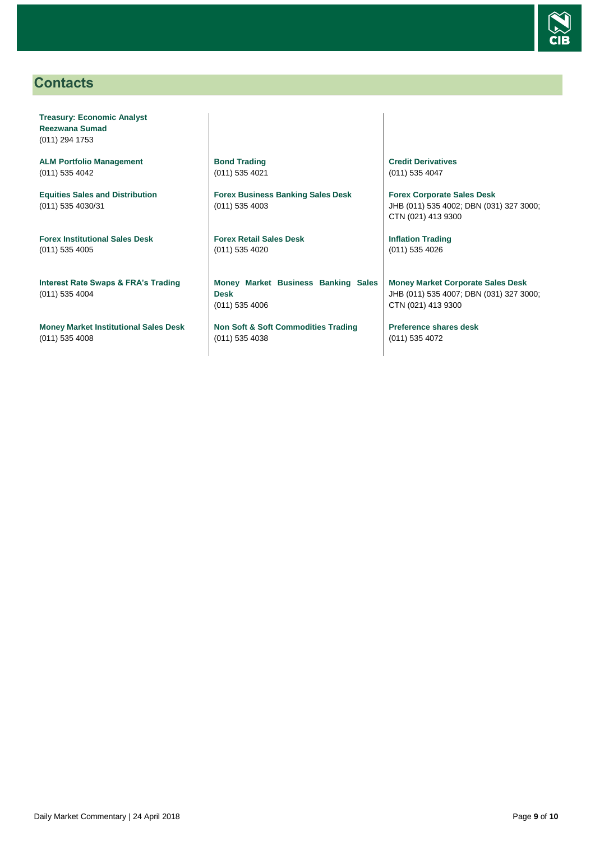

# <span id="page-8-0"></span>**Contacts**

**Treasury: Economic Analyst Reezwana Sumad** (011) 294 1753

**ALM Portfolio Management** (011) 535 4042

**Equities Sales and Distribution** (011) 535 4030/31

**Forex Institutional Sales Desk** (011) 535 4005

**Interest Rate Swaps & FRA's Trading** (011) 535 4004

**Money Market Institutional Sales Desk** (011) 535 4008

**Bond Trading** (011) 535 4021

**Forex Business Banking Sales Desk** (011) 535 4003

**Forex Retail Sales Desk** (011) 535 4020

**Money Market Business Banking Sales Desk** (011) 535 4006

**Non Soft & Soft Commodities Trading** (011) 535 4038

**Credit Derivatives**  (011) 535 4047

**Forex Corporate Sales Desk** JHB (011) 535 4002; DBN (031) 327 3000; CTN (021) 413 9300

**Inflation Trading** (011) 535 4026

**Money Market Corporate Sales Desk** JHB (011) 535 4007; DBN (031) 327 3000; CTN (021) 413 9300

**Preference shares desk** (011) 535 4072